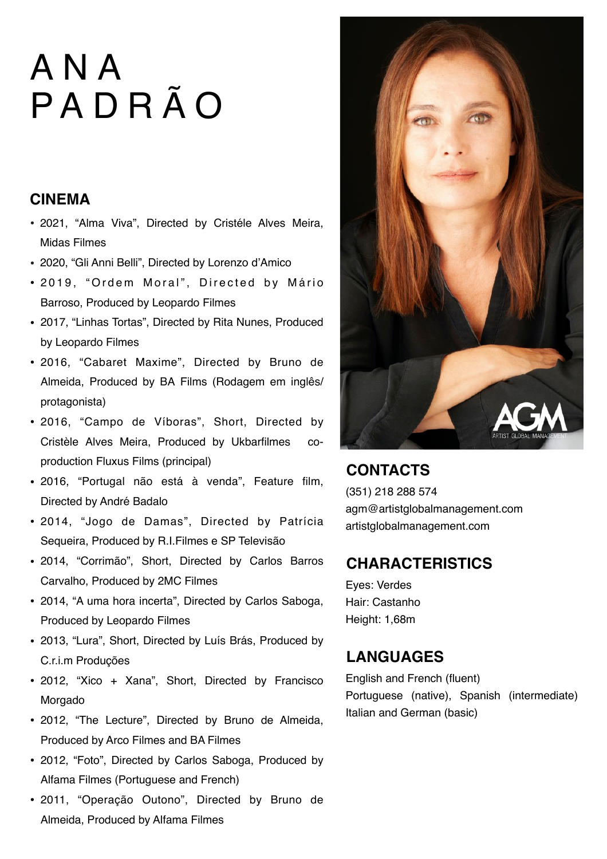#### **CINEMA**

- 2021, "Alma Viva", Directed by Cristéle Alves Meira, Midas Filmes
- 2020, "Gli Anni Belli", Directed by Lorenzo d'Amico
- 2019, "Ordem Moral", Directed by Mário Barroso, Produced by Leopardo Filmes
- 2017, "Linhas Tortas", Directed by Rita Nunes, Produced by Leopardo Filmes
- 2016, "Cabaret Maxime", Directed by Bruno de Almeida, Produced by BA Films (Rodagem em inglês/ protagonista)
- 2016, "Campo de Víboras", Short, Directed by Cristèle Alves Meira, Produced by Ukbarfilmes coproduction Fluxus Films (principal)
- 2016, "Portugal não está à venda", Feature film, Directed by André Badalo
- 2014, "Jogo de Damas", Directed by Patrícia Sequeira, Produced by R.I.Filmes e SP Televisão
- 2014, "Corrimão", Short, Directed by Carlos Barros Carvalho, Produced by 2MC Filmes
- 2014, "A uma hora incerta", Directed by Carlos Saboga, Produced by Leopardo Filmes
- 2013, "Lura", Short, Directed by Luís Brás, Produced by C.r.i.m Produções
- 2012, "Xico + Xana", Short, Directed by Francisco Morgado
- 2012, "The Lecture", Directed by Bruno de Almeida, Produced by Arco Filmes and BA Filmes
- 2012, "Foto", Directed by Carlos Saboga, Produced by Alfama Filmes (Portuguese and French)
- 2011, "Operação Outono", Directed by Bruno de Almeida, Produced by Alfama Filmes



## **CONTACTS**

(351) 218 288 574 agm@artistglobalmanagement.com artistglobalmanagement.com

### **CHARACTERISTICS**

Eyes: Verdes Hair: Castanho Height: 1,68m

## **LANGUAGES**

English and French (fluent) Portuguese (native), Spanish (intermediate) Italian and German (basic)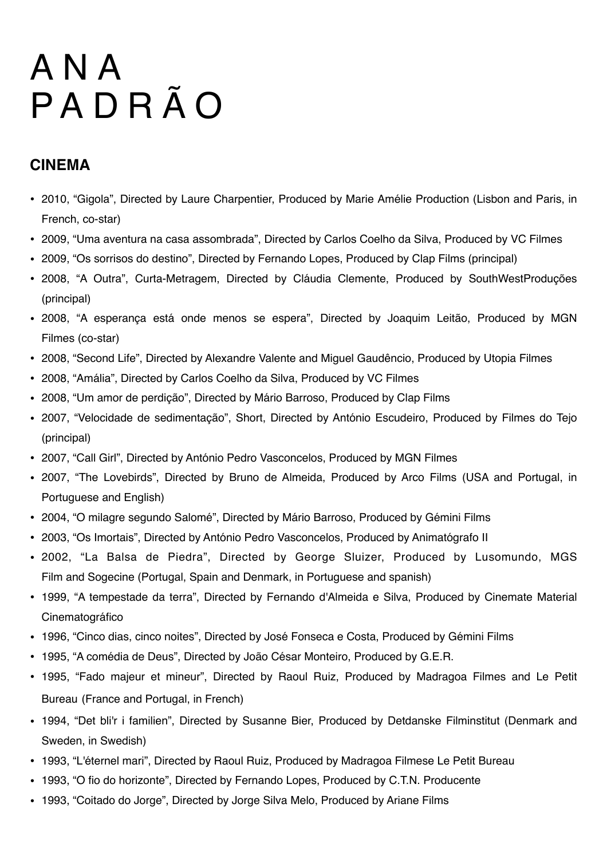### **CINEMA**

- 2010, "Gigola", Directed by Laure Charpentier, Produced by Marie Amélie Production (Lisbon and Paris, in French, co-star)
- 2009, "Uma aventura na casa assombrada", Directed by Carlos Coelho da Silva, Produced by VC Filmes
- 2009, "Os sorrisos do destino", Directed by Fernando Lopes, Produced by Clap Films (principal)
- 2008, "A Outra", Curta-Metragem, Directed by Cláudia Clemente, Produced by SouthWestProduções (principal)
- 2008, "A esperança está onde menos se espera", Directed by Joaquim Leitão, Produced by MGN Filmes (co-star)
- 2008, "Second Life", Directed by Alexandre Valente and Miguel Gaudêncio, Produced by Utopia Filmes
- 2008, "Amália", Directed by Carlos Coelho da Silva, Produced by VC Filmes
- 2008, "Um amor de perdição", Directed by Mário Barroso, Produced by Clap Films
- 2007, "Velocidade de sedimentação", Short, Directed by António Escudeiro, Produced by Filmes do Tejo (principal)
- 2007, "Call Girl", Directed by António Pedro Vasconcelos, Produced by MGN Filmes
- 2007, "The Lovebirds", Directed by Bruno de Almeida, Produced by Arco Films (USA and Portugal, in Portuguese and English)
- 2004, "O milagre segundo Salomé", Directed by Mário Barroso, Produced by Gémini Films
- 2003, "Os Imortais", Directed by António Pedro Vasconcelos, Produced by Animatógrafo II
- 2002, "La Balsa de Piedra", Directed by George Sluizer, Produced by Lusomundo, MGS Film and Sogecine (Portugal, Spain and Denmark, in Portuguese and spanish)
- 1999, "A tempestade da terra", Directed by Fernando d'Almeida e Silva, Produced by Cinemate Material Cinematográfico
- 1996, "Cinco dias, cinco noites", Directed by José Fonseca e Costa, Produced by Gémini Films
- 1995, "A comédia de Deus", Directed by João César Monteiro, Produced by G.E.R.
- 1995, "Fado majeur et mineur", Directed by Raoul Ruiz, Produced by Madragoa Filmes and Le Petit Bureau (France and Portugal, in French)
- 1994, "Det bli'r i familien", Directed by Susanne Bier, Produced by Detdanske Filminstitut (Denmark and Sweden, in Swedish)
- 1993, "L'éternel mari", Directed by Raoul Ruiz, Produced by Madragoa Filmese Le Petit Bureau
- 1993, "O fio do horizonte", Directed by Fernando Lopes, Produced by C.T.N. Producente
- 1993, "Coitado do Jorge", Directed by Jorge Silva Melo, Produced by Ariane Films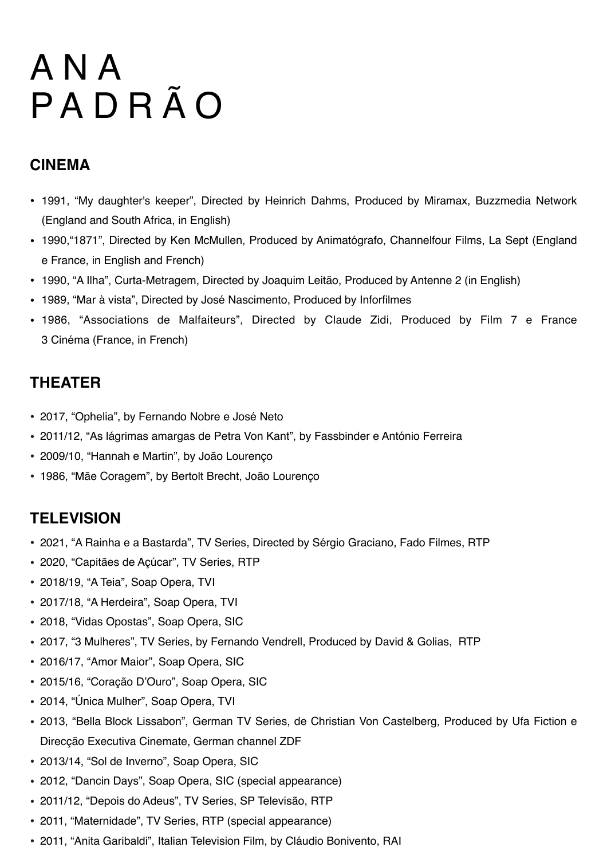## **CINEMA**

- 1991, "My daughter's keeper", Directed by Heinrich Dahms, Produced by Miramax, Buzzmedia Network (England and South Africa, in English)
- 1990,"1871", Directed by Ken McMullen, Produced by Animatógrafo, Channelfour Films, La Sept (England e France, in English and French)
- 1990, "A Ilha", Curta-Metragem, Directed by Joaquim Leitão, Produced by Antenne 2 (in English)
- 1989, "Mar à vista", Directed by José Nascimento, Produced by Inforfilmes
- 1986, "Associations de Malfaiteurs", Directed by Claude Zidi, Produced by Film 7 e France 3 Cinéma (France, in French)

## **THEATER**

- 2017, "Ophelia", by Fernando Nobre e José Neto
- 2011/12, "As lágrimas amargas de Petra Von Kant", by Fassbinder e António Ferreira
- 2009/10, "Hannah e Martin", by João Lourenço
- 1986, "Mãe Coragem", by Bertolt Brecht, João Lourenço

### **TELEVISION**

- 2021, "A Rainha e a Bastarda", TV Series, Directed by Sérgio Graciano, Fado Filmes, RTP
- 2020, "Capitães de Açúcar", TV Series, RTP
- 2018/19, "A Teia", Soap Opera, TVI
- 2017/18, "A Herdeira", Soap Opera, TVI
- 2018, "Vidas Opostas", Soap Opera, SIC
- 2017, "3 Mulheres", TV Series, by Fernando Vendrell, Produced by David & Golias, RTP
- 2016/17, "Amor Maior", Soap Opera, SIC
- 2015/16, "Coração D'Ouro", Soap Opera, SIC
- 2014, "Única Mulher", Soap Opera, TVI
- 2013, "Bella Block Lissabon", German TV Series, de Christian Von Castelberg, Produced by Ufa Fiction e Direcção Executiva Cinemate, German channel ZDF
- 2013/14, "Sol de Inverno", Soap Opera, SIC
- 2012, "Dancin Days", Soap Opera, SIC (special appearance)
- 2011/12, "Depois do Adeus", TV Series, SP Televisão, RTP
- 2011, "Maternidade", TV Series, RTP (special appearance)
- 2011, "Anita Garibaldi", Italian Television Film, by Cláudio Bonivento, RAI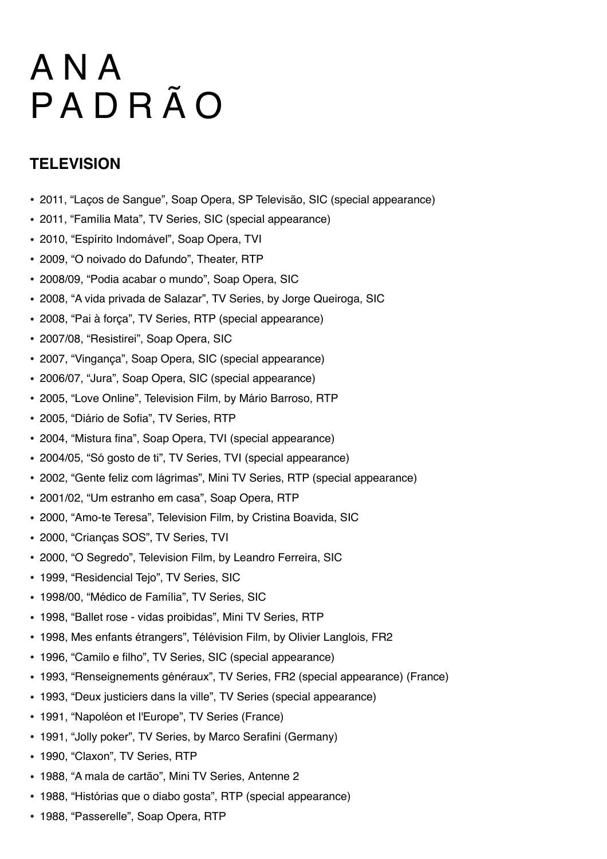## **TELEVISION**

- 2011, "Laços de Sangue", Soap Opera, SP Televisão, SIC (special appearance)
- 2011, "Família Mata", TV Series, SIC (special appearance)
- 2010, "Espírito Indomável", Soap Opera, TVI
- 2009, "O noivado do Dafundo", Theater, RTP
- 2008/09, "Podia acabar o mundo", Soap Opera, SIC
- 2008, "A vida privada de Salazar", TV Series, by Jorge Queiroga, SIC
- 2008, "Pai à força", TV Series, RTP (special appearance)
- 2007/08, "Resistirei", Soap Opera, SIC
- 2007, "Vingança", Soap Opera, SIC (special appearance)
- 2006/07, "Jura", Soap Opera, SIC (special appearance)
- 2005, "Love Online", Television Film, by Mário Barroso, RTP
- 2005, "Diário de Sofia", TV Series, RTP
- 2004, "Mistura fina", Soap Opera, TVI (special appearance)
- 2004/05, "Só gosto de ti", TV Series, TVI (special appearance)
- 2002, "Gente feliz com lágrimas", Mini TV Series, RTP (special appearance)
- 2001/02, "Um estranho em casa", Soap Opera, RTP
- 2000, "Amo-te Teresa", Television Film, by Cristina Boavida, SIC
- 2000, "Crianças SOS", TV Series, TVI
- 2000, "O Segredo", Television Film, by Leandro Ferreira, SIC
- 1999, "Residencial Tejo", TV Series, SIC
- 1998/00, "Médico de Família", TV Series, SIC
- 1998, "Ballet rose vidas proibidas", Mini TV Series, RTP
- 1998, Mes enfants étrangers", Télévision Film, by Olivier Langlois, FR2
- 1996, "Camilo e filho", TV Series, SIC (special appearance)
- 1993, "Renseignements généraux", TV Series, FR2 (special appearance) (France)
- 1993, "Deux justiciers dans la ville", TV Series (special appearance)
- 1991, "Napoléon et l'Europe", TV Series (France)
- 1991, "Jolly poker", TV Series, by Marco Serafini (Germany)
- 1990, "Claxon", TV Series, RTP
- 1988, "A mala de cartão", Mini TV Series, Antenne 2
- 1988, "Histórias que o diabo gosta", RTP (special appearance)
- 1988, "Passerelle", Soap Opera, RTP